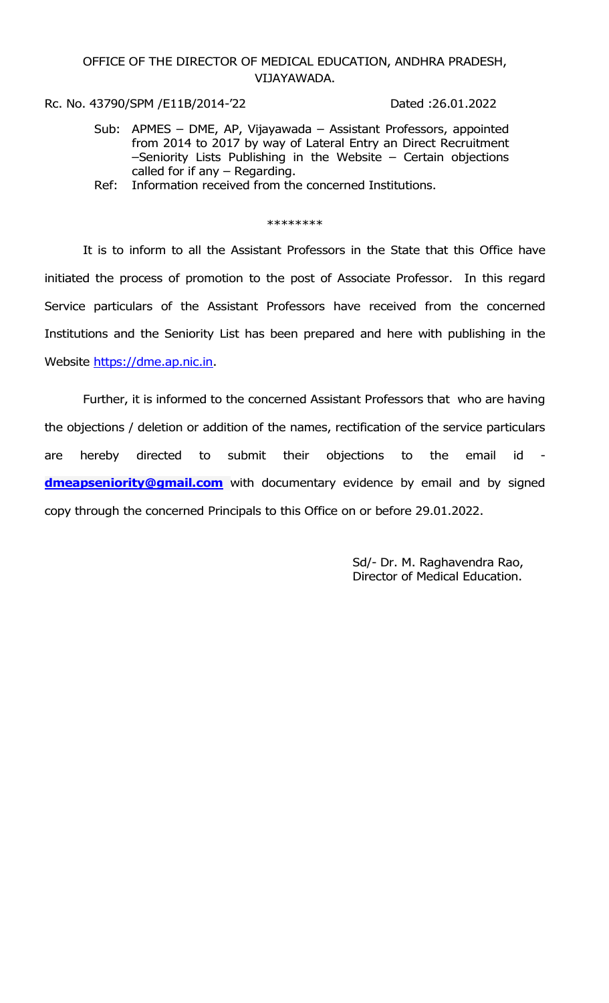## OFFICE OF THE DIRECTOR OF MEDICAL EDUCATION, ANDHRA PRADESH, VIJAYAWADA.

Rc. No. 43790/SPM /E11B/2014-'22 Dated :26.01.2022

- Sub: APMES DME, AP, Vijayawada Assistant Professors, appointed from 2014 to 2017 by way of Lateral Entry an Direct Recruitment –Seniority Lists Publishing in the Website – Certain objections called for if any – Regarding.
- Ref: Information received from the concerned Institutions.

## \*\*\*\*\*\*\*\*

 It is to inform to all the Assistant Professors in the State that this Office have initiated the process of promotion to the post of Associate Professor. In this regard Service particulars of the Assistant Professors have received from the concerned Institutions and the Seniority List has been prepared and here with publishing in the Website https://dme.ap.nic.in.

 Further, it is informed to the concerned Assistant Professors that who are having the objections / deletion or addition of the names, rectification of the service particulars are hereby directed to submit their objections to the email id dmeapseniority@gmail.com with documentary evidence by email and by signed copy through the concerned Principals to this Office on or before 29.01.2022.

> Sd/- Dr. M. Raghavendra Rao, Director of Medical Education.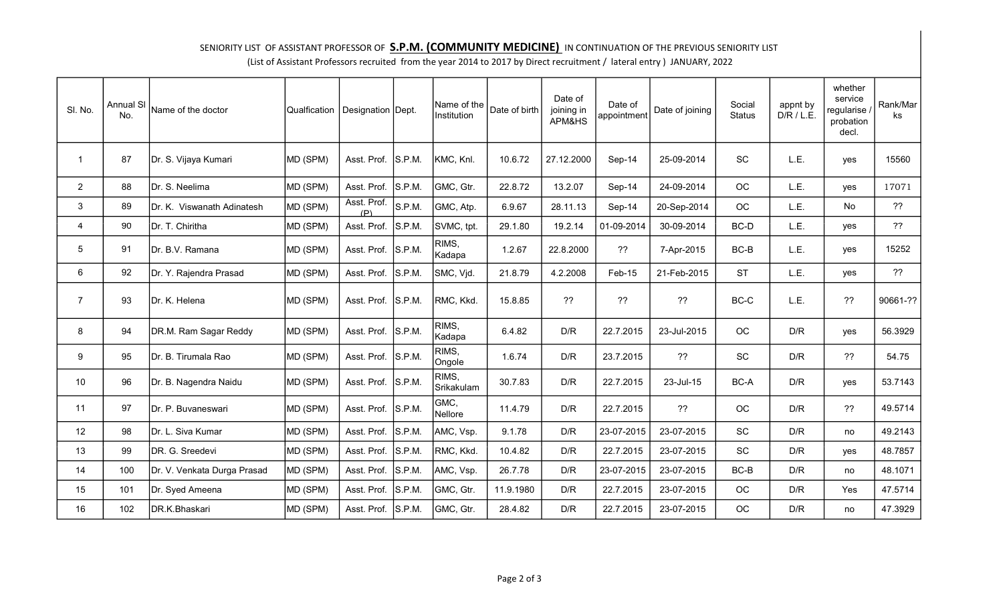## SENIORITY LIST OF ASSISTANT PROFESSOR OF **S.P.M. (COMMUNITY MEDICINE)** IN CONTINUATION OF THE PREVIOUS SENIORITY LIST

(List of Assistant Professors recruited from the year 2014 to 2017 by Direct recruitment / lateral entry ) JANUARY, 2022

| SI. No.        | <b>Annual SI</b><br>No. | Name of the doctor          | <b>Qualfication</b> | Designation Dept.  |        | Name of the<br>Institution | Date of birth | Date of<br>joining in<br>APM&HS | Date of<br>appointment | Date of joining | Social<br><b>Status</b> | appnt by<br>D/R / L.E.  | whether<br>service<br>regularise<br>probation<br>decl. | Rank/Mar<br>ks |
|----------------|-------------------------|-----------------------------|---------------------|--------------------|--------|----------------------------|---------------|---------------------------------|------------------------|-----------------|-------------------------|-------------------------|--------------------------------------------------------|----------------|
| $\mathbf 1$    | 87                      | Dr. S. Vijaya Kumari        | MD (SPM)            | Asst. Prof.        | S.P.M. | KMC, Knl.                  | 10.6.72       | 27.12.2000                      | Sep-14                 | 25-09-2014      | SC                      | L.E.                    | yes                                                    | 15560          |
| $2^{\circ}$    | 88                      | Dr. S. Neelima              | MD (SPM)            | Asst. Prof.        | S.P.M. | GMC, Gtr.                  | 22.8.72       | 13.2.07                         | Sep-14                 | 24-09-2014      | <b>OC</b>               | L.E.                    | yes                                                    | 17071          |
| 3              | 89                      | Dr. K. Viswanath Adinatesh  | MD (SPM)            | Asst. Prof.<br>(P) | S.P.M. | GMC, Atp.                  | 6.9.67        | 28.11.13                        | Sep-14                 | 20-Sep-2014     | OC                      | L.E.                    | No                                                     | 22             |
| 4              | 90                      | Dr. T. Chiritha             | MD (SPM)            | Asst. Prof.        | S.P.M. | SVMC, tpt.                 | 29.1.80       | 19.2.14                         | 01-09-2014             | 30-09-2014      | BC-D                    | L.E.                    | yes                                                    | ??             |
| 5              | 91                      | Dr. B.V. Ramana             | MD (SPM)            | Asst. Prof.        | S.P.M. | RIMS,<br>Kadapa            | 1.2.67        | 22.8.2000                       | ??                     | 7-Apr-2015      | $BC-B$                  | L.E.                    | yes                                                    | 15252          |
| 6              | 92                      | Dr. Y. Rajendra Prasad      | MD (SPM)            | Asst. Prof.        | S.P.M. | SMC, Vjd.                  | 21.8.79       | 4.2.2008                        | Feb-15                 | 21-Feb-2015     | <b>ST</b>               | L.E.                    | yes                                                    | 22             |
| $\overline{7}$ | 93                      | Dr. K. Helena               | MD (SPM)            | Asst. Prof.        | S.P.M. | RMC, Kkd.                  | 15.8.85       | 22                              | ??                     | ??              | $BC-C$                  | L.E.                    | ??                                                     | 90661-??       |
| 8              | 94                      | DR.M. Ram Sagar Reddy       | MD (SPM)            | Asst. Prof.        | S.P.M. | RIMS,<br>Kadapa            | 6.4.82        | D/R                             | 22.7.2015              | 23-Jul-2015     | <b>OC</b>               | D/R                     | yes                                                    | 56.3929        |
| 9              | 95                      | Dr. B. Tirumala Rao         | MD (SPM)            | Asst. Prof.        | S.P.M. | RIMS.<br>Ongole            | 1.6.74        | D/R                             | 23.7.2015              | ??              | SC                      | D/R                     | 22                                                     | 54.75          |
| 10             | 96                      | Dr. B. Nagendra Naidu       | MD (SPM)            | Asst. Prof.        | S.P.M. | RIMS,<br>Srikakulam        | 30.7.83       | D/R                             | 22.7.2015              | 23-Jul-15       | BC-A                    | D/R                     | yes                                                    | 53.7143        |
| 11             | 97                      | Dr. P. Buvaneswari          | MD (SPM)            | Asst. Prof.        | S.P.M. | GMC,<br>Nellore            | 11.4.79       | D/R                             | 22.7.2015              | 22              | OC                      | D/R                     | ??                                                     | 49.5714        |
| 12             | 98                      | Dr. L. Siva Kumar           | MD (SPM)            | Asst. Prof.        | S.P.M. | AMC, Vsp.                  | 9.1.78        | D/R                             | 23-07-2015             | 23-07-2015      | SC                      | $\mathsf{D}/\mathsf{R}$ | no                                                     | 49.2143        |
| 13             | 99                      | DR. G. Sreedevi             | MD (SPM)            | Asst. Prof.        | S.P.M. | RMC, Kkd.                  | 10.4.82       | D/R                             | 22.7.2015              | 23-07-2015      | SC                      | D/R                     | yes                                                    | 48.7857        |
| 14             | 100                     | Dr. V. Venkata Durga Prasad | MD (SPM)            | Asst. Prof.        | S.P.M. | AMC, Vsp.                  | 26.7.78       | D/R                             | 23-07-2015             | 23-07-2015      | $BC-B$                  | $\mathsf{D}/\mathsf{R}$ | no                                                     | 48.1071        |
| 15             | 101                     | Dr. Syed Ameena             | MD (SPM)            | Asst. Prof.        | S.P.M. | GMC, Gtr.                  | 11.9.1980     | D/R                             | 22.7.2015              | 23-07-2015      | OC                      | D/R                     | Yes                                                    | 47.5714        |
| 16             | 102                     | DR.K.Bhaskari               | MD (SPM)            | Asst. Prof.        | S.P.M. | GMC, Gtr.                  | 28.4.82       | D/R                             | 22.7.2015              | 23-07-2015      | OC                      | D/R                     | no                                                     | 47.3929        |